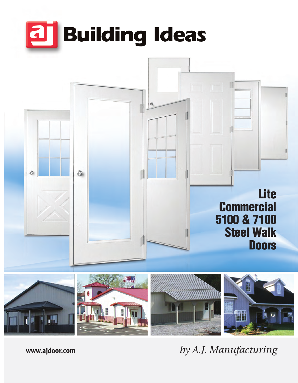



*by A.J. Manufacturing*

**www.ajdoor.com**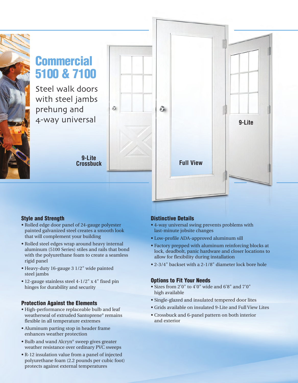# **Commercial 5100 & 7100**

Steel walk doors with steel jambs prehung and 4-way universal

> **9-Lite Crossbuck**

ò



## **Style and Strength**

- **•** Rolled edge door panel of 24-gauge polyester painted galvanized steel creates a smooth look that will complement your building
- **•** Rolled steel edges wrap around heavy internal aluminum (5100 Series) stiles and rails that bond with the polyurethane foam to create a seamless rigid panel
- **•** Heavy-duty 16-gauge 3 1/2" wide painted steel jambs
- **•** 12-gauge stainless steel 4-1/2" x 4" fixed pin hinges for durability and security

#### **Protection Against the Elements**

- **•** High-performance replaceable bulb and leaf weatherseal of extruded Santoprene® remains flexible in all temperature extremes
- **•** Aluminum parting stop in header frame enhances weather protection
- **•** Bulb and wand Alcryn® sweep gives greater weather resistance over ordinary PVC sweeps
- **•** R-12 insulation value from a panel of injected polyurethane foam (2.2 pounds per cubic foot) protects against external temperatures

## **Distinctive Details**

- **•** 4-way universal swing prevents problems with last-minute jobsite changes
- **•** Low-profile ADA-approved aluminum sill
- **•** Factory prepped with aluminum reinforcing blocks at lock, deadbolt, panic hardware and closer locations to allow for flexibility during installation
- **•** 2-3/4" backset with a 2-1/8" diameter lock bore hole

## **Options to Fit Your Needs**

- **•** Sizes from 2'0" to 4'0" wide and 6'8" and 7'0" high available
- **•** Single-glazed and insulated tempered door lites
- **•** Grids available on insulated 9-Lite and Full View Lites
- **•** Crossbuck and 6-panel pattern on both interior and exterior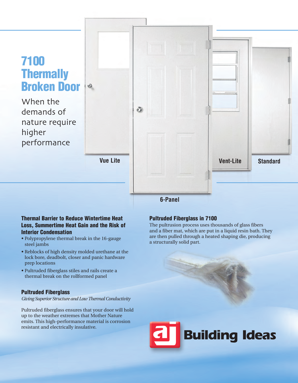# **7100 Thermally Broken Door**

When the demands of nature require higher performance



#### **Thermal Barrier to Reduce Wintertime Heat Loss, Summertime Heat Gain and the Risk of Interior Condensation**

- **•** Polypropylene thermal break in the 16-gauge steel jambs
- **•** Reblocks of high density molded urethane at the lock bore, deadbolt, closer and panic hardware prep locations
- **•** Pultruded fiberglass stiles and rails create a thermal break on the rollformed panel

## **Pultruded Fiberglass**

*Giving Superior Structure and Low Thermal Conductivity*

Pultruded fiberglass ensures that your door will hold up to the weather extremes that Mother Nature emits. This high-performance material is corrosion resistant and electrically insulative.

## **Pultruded Fiberglass in 7100**

The pultrusion process uses thousands of glass fibers and a fiber mat, which are put in a liquid resin bath. They are then pulled through a heated shaping die, producing a structurally solid part.